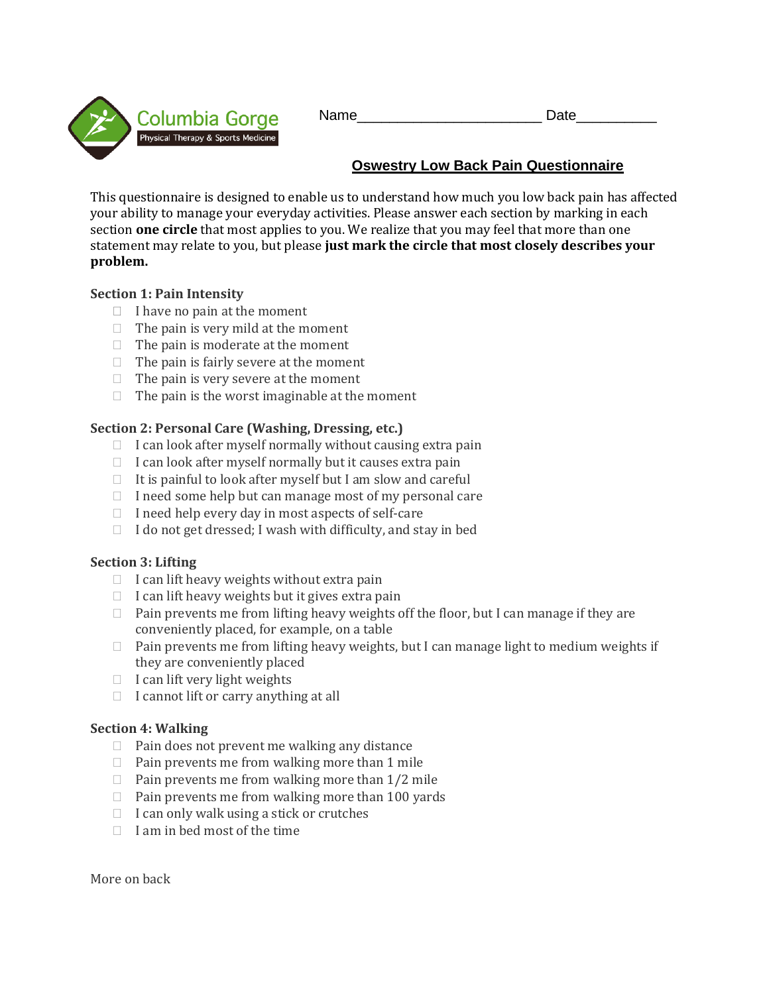Columbia Gorge Physical Therapy & Sports Medicine

Name\_\_\_\_\_\_\_\_\_\_\_\_\_\_\_\_\_\_\_\_\_\_\_ Date\_\_\_\_\_\_\_\_\_\_

# **Oswestry Low Back Pain Questionnaire**

This questionnaire is designed to enable us to understand how much you low back pain has affected your ability to manage your everyday activities. Please answer each section by marking in each section **one circle** that most applies to you. We realize that you may feel that more than one statement may relate to you, but please **just mark the circle that most closely describes your problem.** 

### **Section 1: Pain Intensity**

- $\Box$  I have no pain at the moment
- $\Box$  The pain is very mild at the moment
- $\Box$  The pain is moderate at the moment
- $\Box$  The pain is fairly severe at the moment
- $\Box$  The pain is very severe at the moment
- $\Box$  The pain is the worst imaginable at the moment

### **Section 2: Personal Care (Washing, Dressing, etc.)**

- $\Box$  I can look after myself normally without causing extra pain
- $\Box$  I can look after myself normally but it causes extra pain
- $\Box$  It is painful to look after myself but I am slow and careful
- $\Box$  I need some help but can manage most of my personal care
- $\Box$  I need help every day in most aspects of self-care
- $\Box$  I do not get dressed; I wash with difficulty, and stay in bed

#### **Section 3: Lifting**

- $\Box$  I can lift heavy weights without extra pain
- $\Box$  I can lift heavy weights but it gives extra pain
- $\Box$  Pain prevents me from lifting heavy weights off the floor, but I can manage if they are conveniently placed, for example, on a table
- □ Pain prevents me from lifting heavy weights, but I can manage light to medium weights if they are conveniently placed
- $\Box$  I can lift very light weights
- $\Box$  I cannot lift or carry anything at all

#### **Section 4: Walking**

- $\Box$  Pain does not prevent me walking any distance
- $\Box$  Pain prevents me from walking more than 1 mile
- $\Box$  Pain prevents me from walking more than  $1/2$  mile
- $\Box$  Pain prevents me from walking more than 100 yards
- $\Box$  I can only walk using a stick or crutches
- $\Box$  I am in bed most of the time

More on back